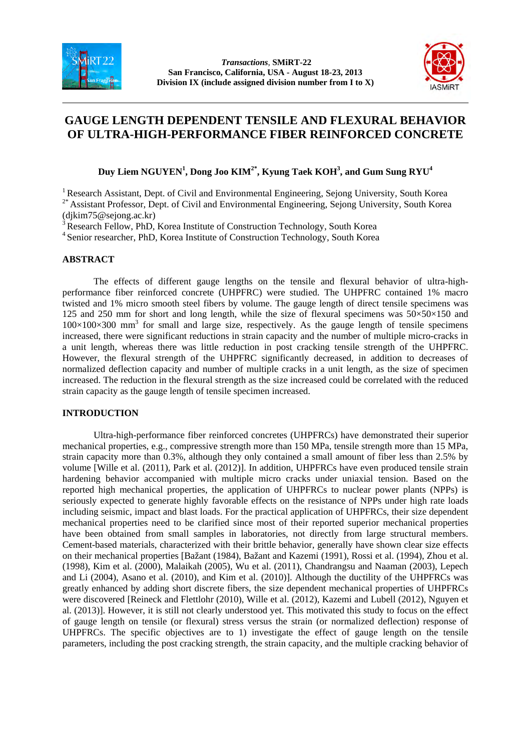



# **GAUGE LENGTH DEPENDENT TENSILE AND FLEXURAL BEHAVIOR OF ULTRA-HIGH-PERFORMANCE FIBER REINFORCED CONCRETE**

**Duy Liem NGUYEN<sup>1</sup> , Dong Joo KIM2\*, Kyung Taek KOH3 , and Gum Sung RYU<sup>4</sup>**

<sup>1</sup> Research Assistant, Dept. of Civil and Environmental Engineering, Sejong University, South Korea

<sup>2\*</sup> Assistant Professor, Dept. of Civil and Environmental Engineering, Sejong University, South Korea (djkim75@sejong.ac.kr)

<sup>3</sup> Research Fellow, PhD, Korea Institute of Construction Technology, South Korea

4 Senior researcher, PhD, Korea Institute of Construction Technology, South Korea

# **ABSTRACT**

The effects of different gauge lengths on the tensile and flexural behavior of ultra-highperformance fiber reinforced concrete (UHPFRC) were studied. The UHPFRC contained 1% macro twisted and 1% micro smooth steel fibers by volume. The gauge length of direct tensile specimens was 125 and 250 mm for short and long length, while the size of flexural specimens was  $50 \times 50 \times 150$  and  $100\times100\times300$  mm<sup>3</sup> for small and large size, respectively. As the gauge length of tensile specimens increased, there were significant reductions in strain capacity and the number of multiple micro-cracks in a unit length, whereas there was little reduction in post cracking tensile strength of the UHPFRC. However, the flexural strength of the UHPFRC significantly decreased, in addition to decreases of normalized deflection capacity and number of multiple cracks in a unit length, as the size of specimen increased. The reduction in the flexural strength as the size increased could be correlated with the reduced strain capacity as the gauge length of tensile specimen increased.

### **INTRODUCTION**

Ultra-high-performance fiber reinforced concretes (UHPFRCs) have demonstrated their superior mechanical properties, e.g., compressive strength more than 150 MPa, tensile strength more than 15 MPa, strain capacity more than 0.3%, although they only contained a small amount of fiber less than 2.5% by volume [Wille et al. (2011), Park et al. (2012)]. In addition, UHPFRCs have even produced tensile strain hardening behavior accompanied with multiple micro cracks under uniaxial tension. Based on the reported high mechanical properties, the application of UHPFRCs to nuclear power plants (NPPs) is seriously expected to generate highly favorable effects on the resistance of NPPs under high rate loads including seismic, impact and blast loads. For the practical application of UHPFRCs, their size dependent mechanical properties need to be clarified since most of their reported superior mechanical properties have been obtained from small samples in laboratories, not directly from large structural members. Cement-based materials, characterized with their brittle behavior, generally have shown clear size effects on their mechanical properties [Bažant (1984), Bažant and Kazemi (1991), Rossi et al. (1994), Zhou et al. (1998), Kim et al. (2000), Malaikah (2005), Wu et al. (2011), Chandrangsu and Naaman (2003), Lepech and Li (2004), Asano et al. (2010), and Kim et al. (2010)]. Although the ductility of the UHPFRCs was greatly enhanced by adding short discrete fibers, the size dependent mechanical properties of UHPFRCs were discovered [Reineck and Flettlohr (2010), Wille et al. (2012), Kazemi and Lubell (2012), Nguyen et al. (2013)]. However, it is still not clearly understood yet. This motivated this study to focus on the effect of gauge length on tensile (or flexural) stress versus the strain (or normalized deflection) response of UHPFRCs. The specific objectives are to 1) investigate the effect of gauge length on the tensile parameters, including the post cracking strength, the strain capacity, and the multiple cracking behavior of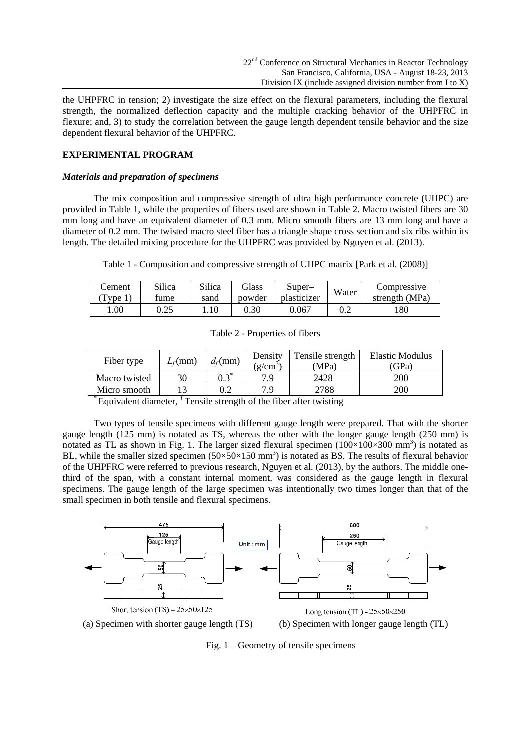the UHPFRC in tension; 2) investigate the size effect on the flexural parameters, including the flexural strength, the normalized deflection capacity and the multiple cracking behavior of the UHPFRC in flexure; and, 3) to study the correlation between the gauge length dependent tensile behavior and the size dependent flexural behavior of the UHPFRC.

# **EXPERIMENTAL PROGRAM**

## *Materials and preparation of specimens*

The mix composition and compressive strength of ultra high performance concrete (UHPC) are provided in Table 1, while the properties of fibers used are shown in Table 2. Macro twisted fibers are 30 mm long and have an equivalent diameter of 0.3 mm. Micro smooth fibers are 13 mm long and have a diameter of 0.2 mm. The twisted macro steel fiber has a triangle shape cross section and six ribs within its length. The detailed mixing procedure for the UHPFRC was provided by Nguyen et al. (2013).

Table 1 - Composition and compressive strength of UHPC matrix [Park et al. (2008)]

| Cement | Silica | Silica | <b>Glass</b> | Super–      | Water | Compressive    |
|--------|--------|--------|--------------|-------------|-------|----------------|
| vpe.   | tume   | sand   | powder       | plasticizer |       | strength (MPa) |
| 00.1   | 0.25   | 1.10   | 0.30         | 0.067       | 0.2   | 180            |

Table 2 - Properties of fibers

| Fiber type    | $L_f$ (mm) | $d_f$ (mm)      | Density<br>$(2/cm^3)$ | Tensile strength<br>(MPa) | Elastic Modulus<br>(GPa) |
|---------------|------------|-----------------|-----------------------|---------------------------|--------------------------|
| Macro twisted | 30         | $0.3^{\degree}$ | 7 Q                   | 2428                      | 200                      |
| Micro smooth  |            | 0.2             | 7 Q                   | 2788                      | 200                      |

 $*$  Equivalent diameter,  $\dagger$  Tensile strength of the fiber after twisting

Two types of tensile specimens with different gauge length were prepared. That with the shorter gauge length (125 mm) is notated as TS, whereas the other with the longer gauge length (250 mm) is notated as TL as shown in Fig. 1. The larger sized flexural specimen  $(100\times100\times300$  mm<sup>3</sup>) is notated as BL, while the smaller sized specimen  $(50\times50\times150 \text{ mm}^3)$  is notated as BS. The results of flexural behavior of the UHPFRC were referred to previous research, Nguyen et al. (2013), by the authors. The middle onethird of the span, with a constant internal moment, was considered as the gauge length in flexural specimens. The gauge length of the large specimen was intentionally two times longer than that of the small specimen in both tensile and flexural specimens.



Fig. 1 – Geometry of tensile specimens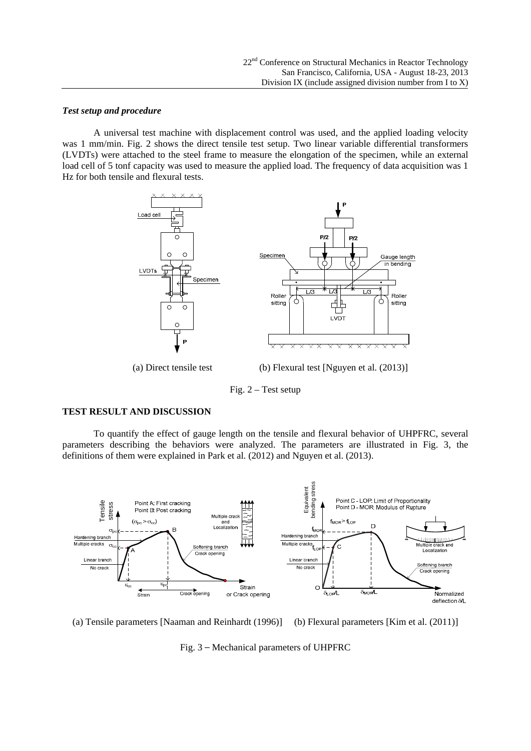### *Test setup and procedure*

A universal test machine with displacement control was used, and the applied loading velocity was 1 mm/min. Fig. 2 shows the direct tensile test setup. Two linear variable differential transformers (LVDTs) were attached to the steel frame to measure the elongation of the specimen, while an external load cell of 5 tonf capacity was used to measure the applied load. The frequency of data acquisition was 1 Hz for both tensile and flexural tests.



(a) Direct tensile test (b) Flexural test [Nguyen et al. (2013)]

Fig. 2 – Test setup

#### **TEST RESULT AND DISCUSSION**

To quantify the effect of gauge length on the tensile and flexural behavior of UHPFRC, several parameters describing the behaviors were analyzed. The parameters are illustrated in Fig. 3, the definitions of them were explained in Park et al. (2012) and Nguyen et al. (2013).



(a) Tensile parameters [Naaman and Reinhardt (1996)] (b) Flexural parameters [Kim et al. (2011)]

Fig. 3 – Mechanical parameters of UHPFRC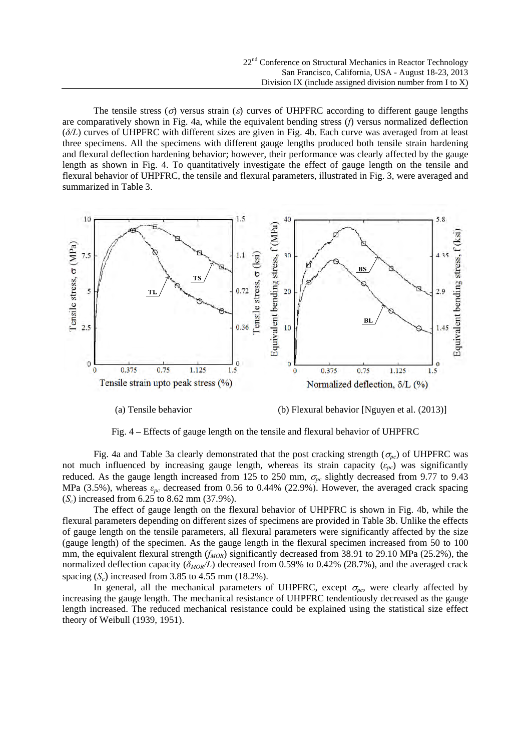The tensile stress ( $\sigma$ ) versus strain ( $\varepsilon$ ) curves of UHPFRC according to different gauge lengths are comparatively shown in Fig. 4a, while the equivalent bending stress (*f*) versus normalized deflection (*δ/L*) curves of UHPFRC with different sizes are given in Fig. 4b. Each curve was averaged from at least three specimens. All the specimens with different gauge lengths produced both tensile strain hardening and flexural deflection hardening behavior; however, their performance was clearly affected by the gauge length as shown in Fig. 4. To quantitatively investigate the effect of gauge length on the tensile and flexural behavior of UHPFRC, the tensile and flexural parameters, illustrated in Fig. 3, were averaged and summarized in Table 3.



(a) Tensile behavior (b) Flexural behavior [Nguyen et al. (2013)]



Fig. 4a and Table 3a clearly demonstrated that the post cracking strength ( $\sigma_{pc}$ ) of UHPFRC was not much influenced by increasing gauge length, whereas its strain capacity (*εpc*) was significantly reduced. As the gauge length increased from 125 to 250 mm,  $\sigma_{pc}$  slightly decreased from 9.77 to 9.43 MPa (3.5%), whereas *εpc* decreased from 0.56 to 0.44% (22.9%). However, the averaged crack spacing (*Sc*) increased from 6.25 to 8.62 mm (37.9%).

The effect of gauge length on the flexural behavior of UHPFRC is shown in Fig. 4b, while the flexural parameters depending on different sizes of specimens are provided in Table 3b. Unlike the effects of gauge length on the tensile parameters, all flexural parameters were significantly affected by the size (gauge length) of the specimen. As the gauge length in the flexural specimen increased from 50 to 100 mm, the equivalent flexural strength (*f<sub>MOR</sub>*) significantly decreased from 38.91 to 29.10 MPa (25.2%), the normalized deflection capacity (*δMOR/L*) decreased from 0.59% to 0.42% (28.7%), and the averaged crack spacing  $(S_c)$  increased from 3.85 to 4.55 mm (18.2%).

In general, all the mechanical parameters of UHPFRC, except  $\sigma_{pc}$ , were clearly affected by increasing the gauge length. The mechanical resistance of UHPFRC tendentiously decreased as the gauge length increased. The reduced mechanical resistance could be explained using the statistical size effect theory of Weibull (1939, 1951).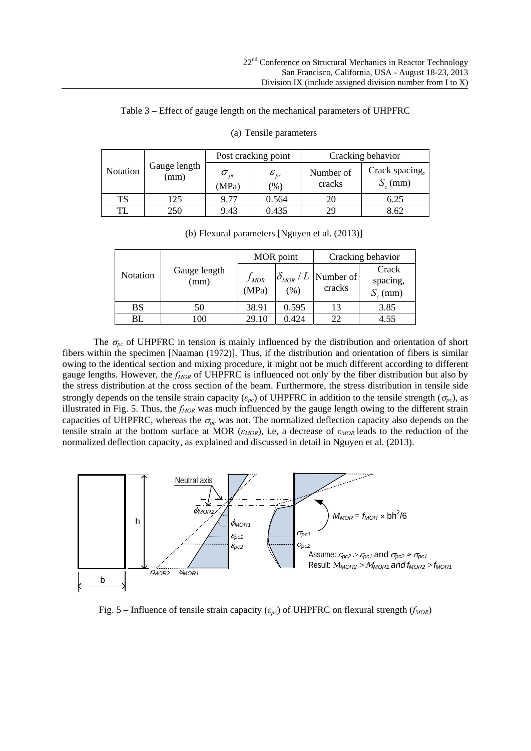| Notation  |                      | Post cracking point       |                           | Cracking behavior   |                              |  |
|-----------|----------------------|---------------------------|---------------------------|---------------------|------------------------------|--|
|           | Gauge length<br>(mm) | $\sigma_{_{pc}}$<br>(MPa) | ${\cal E}_{pc}$<br>$(\%)$ | Number of<br>cracks | Crack spacing,<br>$S_c$ (mm) |  |
| <b>TS</b> | 125                  | 9.77                      | 0.564                     | 20                  | 6.25                         |  |
| TL        | 250                  | 9.43                      | 0.435                     | 29                  | 8.62                         |  |

# Table 3 – Effect of gauge length on the mechanical parameters of UHPFRC

(a) Tensile parameters

|  |  | (b) Flexural parameters [Nguyen et al. (2013)] |  |  |  |
|--|--|------------------------------------------------|--|--|--|
|--|--|------------------------------------------------|--|--|--|

|          | Gauge length<br>(mm) | MOR point          |       | Cracking behavior                        |                                 |
|----------|----------------------|--------------------|-------|------------------------------------------|---------------------------------|
| Notation |                      | $f_{MOR}$<br>(MPa) | (%)   | $ \delta_{MOR} / L $ Number of<br>cracks | Crack<br>spacing,<br>$S_c$ (mm) |
| BS       | 50                   | 38.91              | 0.595 |                                          | 3.85                            |
| BL       | -00                  | 29.10              | 0.424 | 22                                       | 4.55                            |

The  $\sigma_{pc}$  of UHPFRC in tension is mainly influenced by the distribution and orientation of short fibers within the specimen [Naaman (1972)]. Thus, if the distribution and orientation of fibers is similar owing to the identical section and mixing procedure, it might not be much different according to different gauge lengths. However, the *f<sub>MOR</sub>* of UHPFRC is influenced not only by the fiber distribution but also by the stress distribution at the cross section of the beam. Furthermore, the stress distribution in tensile side strongly depends on the tensile strain capacity ( $\varepsilon_{pc}$ ) of UHPFRC in addition to the tensile strength ( $\sigma_{pc}$ ), as illustrated in Fig. 5. Thus, the  $f_{MOR}$  was much influenced by the gauge length owing to the different strain capacities of UHPFRC, whereas the  $\sigma_{pc}$  was not. The normalized deflection capacity also depends on the tensile strain at the bottom surface at MOR (*εMOR*), i.e, a decrease of *εMOR* leads to the reduction of the normalized deflection capacity, as explained and discussed in detail in Nguyen et al. (2013).



Fig. 5 – Influence of tensile strain capacity ( $\varepsilon_{pc}$ ) of UHPFRC on flexural strength (*f<sub>MOR</sub>*)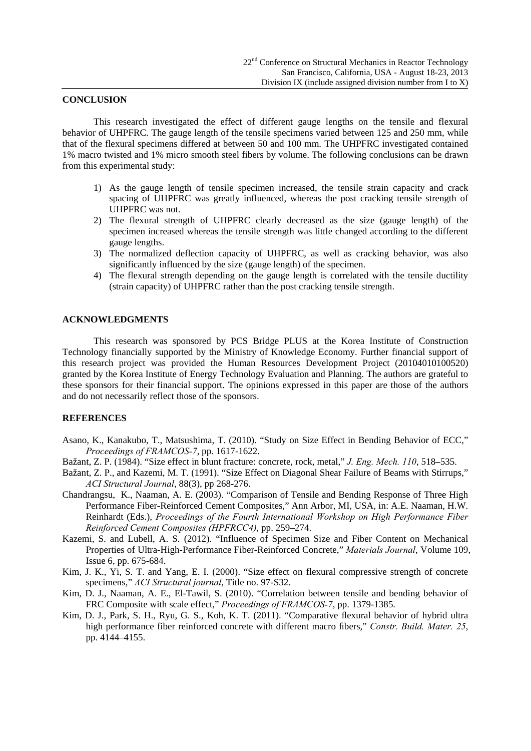### **CONCLUSION**

This research investigated the effect of different gauge lengths on the tensile and flexural behavior of UHPFRC. The gauge length of the tensile specimens varied between 125 and 250 mm, while that of the flexural specimens differed at between 50 and 100 mm. The UHPFRC investigated contained 1% macro twisted and 1% micro smooth steel fibers by volume. The following conclusions can be drawn from this experimental study:

- 1) As the gauge length of tensile specimen increased, the tensile strain capacity and crack spacing of UHPFRC was greatly influenced, whereas the post cracking tensile strength of UHPFRC was not.
- 2) The flexural strength of UHPFRC clearly decreased as the size (gauge length) of the specimen increased whereas the tensile strength was little changed according to the different gauge lengths.
- 3) The normalized deflection capacity of UHPFRC, as well as cracking behavior, was also significantly influenced by the size (gauge length) of the specimen.
- 4) The flexural strength depending on the gauge length is correlated with the tensile ductility (strain capacity) of UHPFRC rather than the post cracking tensile strength.

# **ACKNOWLEDGMENTS**

This research was sponsored by PCS Bridge PLUS at the Korea Institute of Construction Technology financially supported by the Ministry of Knowledge Economy. Further financial support of this research project was provided the Human Resources Development Project (20104010100520) granted by the Korea Institute of Energy Technology Evaluation and Planning. The authors are grateful to these sponsors for their financial support. The opinions expressed in this paper are those of the authors and do not necessarily reflect those of the sponsors.

## **REFERENCES**

- Asano, K., Kanakubo, T., Matsushima, T. (2010). "Study on Size Effect in Bending Behavior of ECC," *Proceedings of FRAMCOS-7*, pp. 1617-1622.
- Bažant, Z. P. (1984). "Size effect in blunt fracture: concrete, rock, metal," *J. Eng. Mech. 110*, 518–535.
- Bažant, Z. P., and Kazemi, M. T. (1991). "Size Effect on Diagonal Shear Failure of Beams with Stirrups," *ACI Structural Journal*, 88(3), pp 268-276.
- Chandrangsu, K., Naaman, A. E. (2003). "Comparison of Tensile and Bending Response of Three High Performance Fiber-Reinforced Cement Composites," Ann Arbor, MI, USA, in: A.E. Naaman, H.W. Reinhardt (Eds.), *Proceedings of the Fourth International Workshop on High Performance Fiber Reinforced Cement Composites (HPFRCC4)*, pp. 259–274.
- Kazemi, S. and Lubell, A. S. (2012). "Influence of Specimen Size and Fiber Content on Mechanical Properties of Ultra-High-Performance Fiber-Reinforced Concrete," *Materials Journal*, Volume 109, Issue 6, pp. 675-684.
- Kim, J. K., Yi, S. T. and Yang, E. I. (2000). "Size effect on flexural compressive strength of concrete specimens," *ACI Structural journal*, Title no. 97-S32.
- Kim, D. J., Naaman, A. E., El-Tawil, S. (2010). "Correlation between tensile and bending behavior of FRC Composite with scale effect," *Proceedings of FRAMCOS-7*, pp. 1379-1385.
- Kim, D. J., Park, S. H., Ryu, G. S., Koh, K. T. (2011). "Comparative flexural behavior of hybrid ultra high performance fiber reinforced concrete with different macro fibers," *Constr. Build. Mater. 25*, pp. 4144–4155.